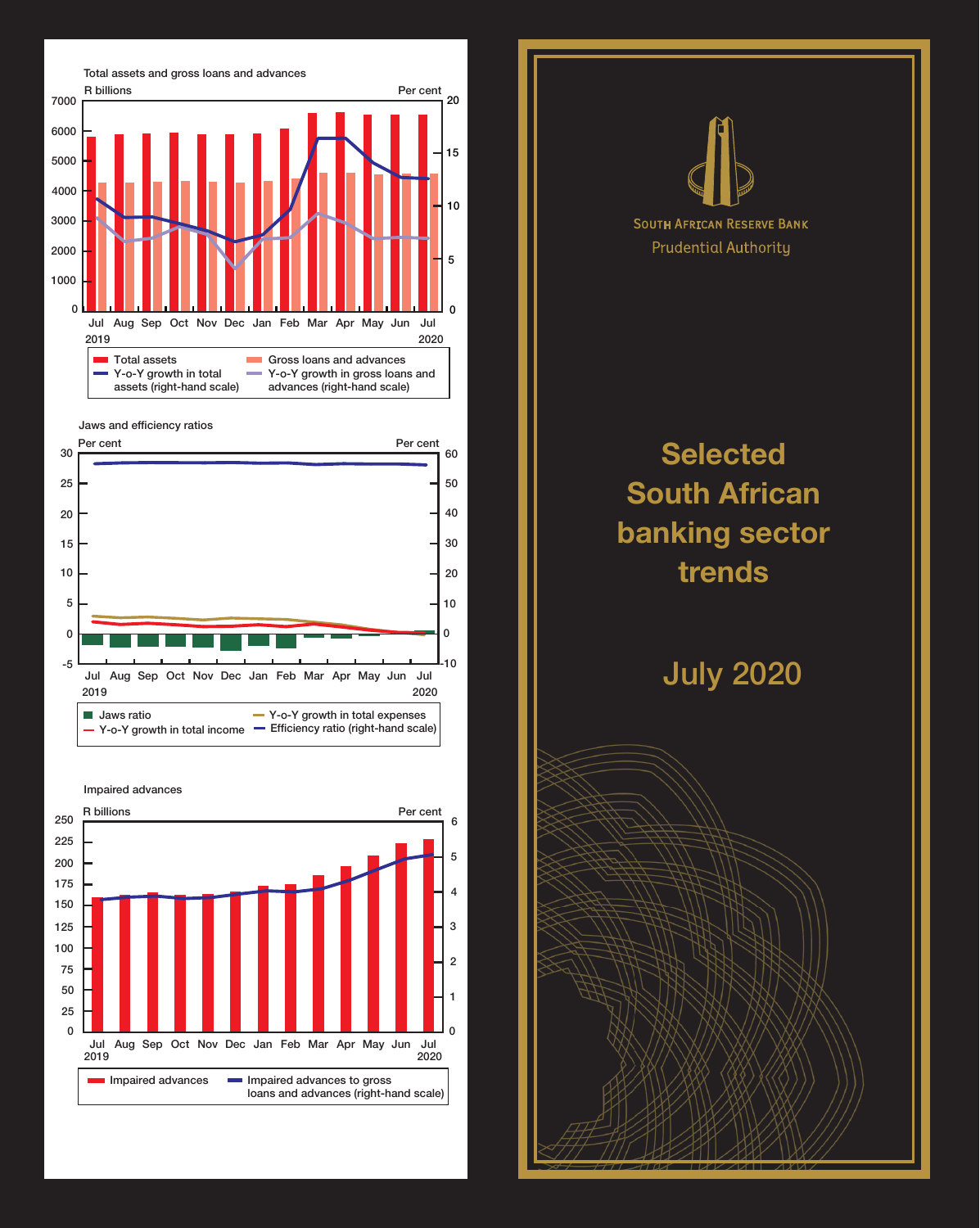